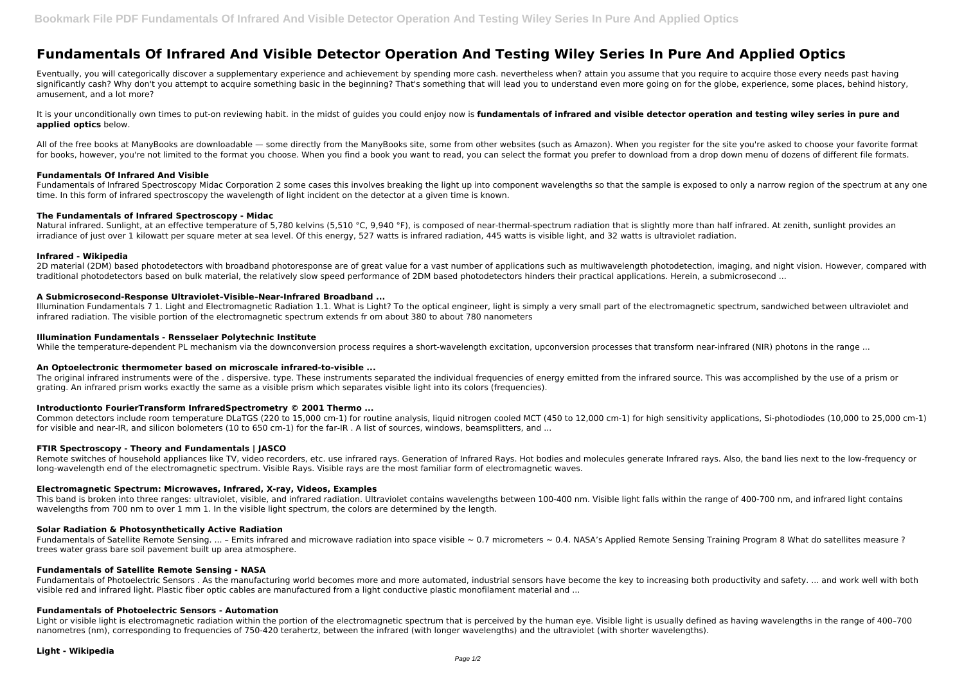# **Fundamentals Of Infrared And Visible Detector Operation And Testing Wiley Series In Pure And Applied Optics**

It is your unconditionally own times to put-on reviewing habit. in the midst of quides you could enjoy now is **fundamentals of infrared and visible detector operation and testing wiley series in pure and applied optics** below.

All of the free books at ManyBooks are downloadable — some directly from the ManyBooks site, some from other websites (such as Amazon). When you register for the site you're asked to choose your favorite format for books, however, you're not limited to the format you choose. When you find a book you want to read, you can select the format you prefer to download from a drop down menu of dozens of different file formats.

Eventually, you will categorically discover a supplementary experience and achievement by spending more cash. nevertheless when? attain you assume that you require to acquire those every needs past having significantly cash? Why don't you attempt to acquire something basic in the beginning? That's something that will lead you to understand even more going on for the globe, experience, some places, behind history, amusement, and a lot more?

Fundamentals of Infrared Spectroscopy Midac Corporation 2 some cases this involves breaking the light up into component wavelengths so that the sample is exposed to only a narrow region of the spectrum at any one time. In this form of infrared spectroscopy the wavelength of light incident on the detector at a given time is known.

Natural infrared. Sunlight, at an effective temperature of 5,780 kelvins (5,510 °C, 9,940 °F), is composed of near-thermal-spectrum radiation that is slightly more than half infrared. At zenith, sunlight provides an irradiance of just over 1 kilowatt per square meter at sea level. Of this energy, 527 watts is infrared radiation, 445 watts is visible light, and 32 watts is ultraviolet radiation.

## **Fundamentals Of Infrared And Visible**

# **The Fundamentals of Infrared Spectroscopy - Midac**

The original infrared instruments were of the . dispersive. type. These instruments separated the individual frequencies of energy emitted from the infrared source. This was accomplished by the use of a prism or grating. An infrared prism works exactly the same as a visible prism which separates visible light into its colors (frequencies).

# **Infrared - Wikipedia**

2D material (2DM) based photodetectors with broadband photoresponse are of great value for a vast number of applications such as multiwavelength photodetection, imaging, and night vision. However, compared with traditional photodetectors based on bulk material, the relatively slow speed performance of 2DM based photodetectors hinders their practical applications. Herein, a submicrosecond ...

# **A Submicrosecond-Response Ultraviolet–Visible–Near-Infrared Broadband ...**

Fundamentals of Satellite Remote Sensing.  $...$  – Emits infrared and microwave radiation into space visible  $\sim 0.7$  micrometers  $\sim 0.4$ . NASA's Applied Remote Sensing Training Program 8 What do satellites measure ? trees water grass bare soil pavement built up area atmosphere.

Fundamentals of Photoelectric Sensors . As the manufacturing world becomes more and more automated, industrial sensors have become the key to increasing both productivity and safety. ... and work well with both visible red and infrared light. Plastic fiber optic cables are manufactured from a light conductive plastic monofilament material and ...

Illumination Fundamentals 7 1. Light and Electromagnetic Radiation 1.1. What is Light? To the optical engineer, light is simply a very small part of the electromagnetic spectrum, sandwiched between ultraviolet and infrared radiation. The visible portion of the electromagnetic spectrum extends fr om about 380 to about 780 nanometers

## **Illumination Fundamentals - Rensselaer Polytechnic Institute**

While the temperature-dependent PL mechanism via the downconversion process requires a short-wavelength excitation, upconversion processes that transform near-infrared (NIR) photons in the range ...

### **An Optoelectronic thermometer based on microscale infrared-to-visible ...**

### **Introductionto FourierTransform InfraredSpectrometry © 2001 Thermo ...**

Common detectors include room temperature DLaTGS (220 to 15,000 cm-1) for routine analysis, liquid nitrogen cooled MCT (450 to 12,000 cm-1) for high sensitivity applications, Si-photodiodes (10,000 to 25,000 cm-1) for visible and near-IR, and silicon bolometers (10 to 650 cm-1) for the far-IR . A list of sources, windows, beamsplitters, and ...

### **FTIR Spectroscopy - Theory and Fundamentals | JASCO**

Remote switches of household appliances like TV, video recorders, etc. use infrared rays. Generation of Infrared Rays. Hot bodies and molecules generate Infrared rays. Also, the band lies next to the low-frequency or long-wavelength end of the electromagnetic spectrum. Visible Rays. Visible rays are the most familiar form of electromagnetic waves.

### **Electromagnetic Spectrum: Microwaves, Infrared, X-ray, Videos, Examples**

This band is broken into three ranges: ultraviolet, visible, and infrared radiation. Ultraviolet contains wavelengths between 100-400 nm. Visible light falls within the range of 400-700 nm, and infrared light contains wavelengths from 700 nm to over 1 mm 1. In the visible light spectrum, the colors are determined by the length.

### **Solar Radiation & Photosynthetically Active Radiation**

### **Fundamentals of Satellite Remote Sensing - NASA**

### **Fundamentals of Photoelectric Sensors - Automation**

Light or visible light is electromagnetic radiation within the portion of the electromagnetic spectrum that is perceived by the human eye. Visible light is usually defined as having wavelengths in the range of 400–700 nanometres (nm), corresponding to frequencies of 750-420 terahertz, between the infrared (with longer wavelengths) and the ultraviolet (with shorter wavelengths).

### **Light - Wikipedia**